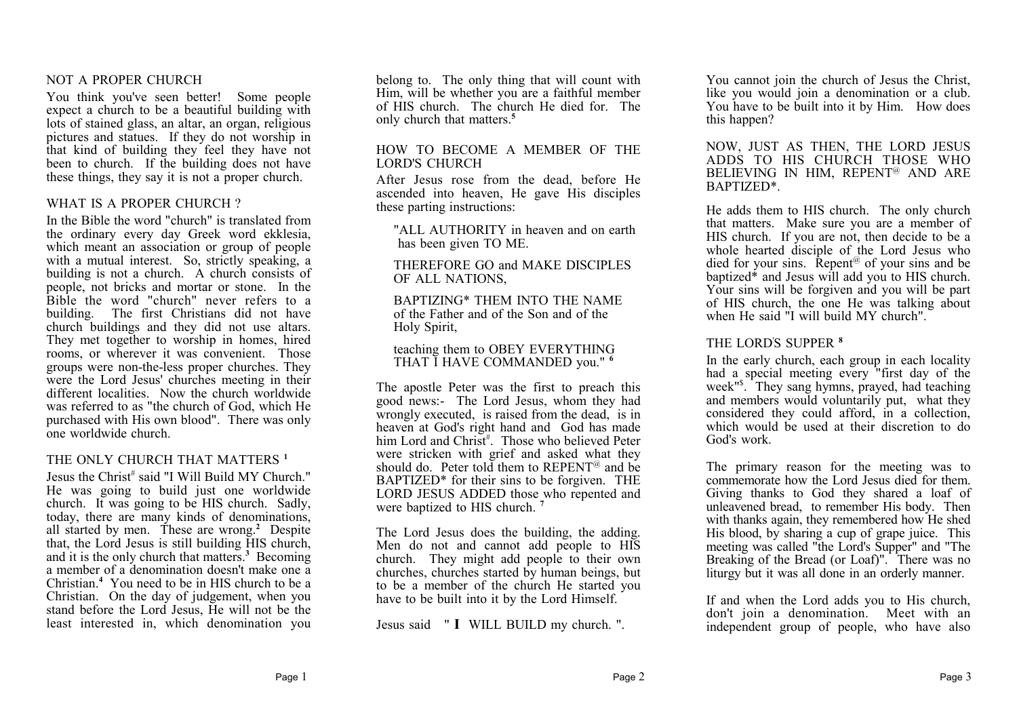#### NOT A PROPER CHURCH

You think you've seen better! Some people expect a church to be a beautiful building with lots of stained glass, an altar, an organ, religious pictures and statues. If they do not worship in that kind of building they feel they have not been to church. If the building does not have these things, they say it is not a proper church.

# WHAT IS A PROPER CHURCH?

In the Bible the word "church" is translated from the ordinary every day Greek word ekklesia, which meant an association or group of people with a mutual interest. So, strictly speaking, a building is not a church. A church consists of people, not bricks and mortar or stone. In the Bible the word "church" never refers to a building. The first Christians did not have church buildings and they did not use altars. They met together to worship in homes, hired rooms, or wherever it was convenient. Those groups were non-the-less proper churches. They were the Lord Jesus' churches meeting in their different localities. Now the church worldwide was referred to as "the church of God, which He purchased with His own blood". There was only one worldwide church.

# THE ONLY CHURCH THAT MATTERS<sup>1</sup>

Jesus the Christ<sup>#</sup> said "I Will Build MY Church." He was going to build just one worldwide church. It was going to be HIS church. Sadly, today, there are many kinds of denominations, all started by men. These are wrong.**<sup>2</sup>** Despite that, the Lord Jesus is still building HIS church, and it is the only church that matters.**<sup>3</sup>** Becoming a member of a denomination doesn't make one a Christian.**<sup>4</sup>** You need to be in HIS church to be a Christian. On the day of judgement, when you stand before the Lord Jesus, He will not be the least interested in, which denomination you

belong to. The only thing that will count with Him, will be whether you are a faithful member of HIS church. The church He died for. The only church that matters.**<sup>5</sup>**

#### HOW TO BECOME A MEMBER OF THE LORD'S CHURCH

After Jesus rose from the dead, before He ascended into heaven, He gave His disciples these parting instructions:

"ALL AUTHORITY in heaven and on earth has been given TO ME.

THEREFORE GO and MAKE DISCIPLES OF ALL NATIONS,

BAPTIZING\* THEM INTO THE NAME of the Father and of the Son and of the Holy Spirit,

#### teaching them to OBEY EVERYTHING THAT I HAVE COMMANDED you." **<sup>6</sup>**

The apostle Peter was the first to preach this good news:- The Lord Jesus, whom they had wrongly executed, is raised from the dead, is in heaven at God's right hand and God has made him Lord and Christ<sup>#</sup>. Those who believed Peter were stricken with grief and asked what they should do. Peter told them to  $REPENT^@$  and be BAPTIZED\* for their sins to be forgiven. THE LORD JESUS ADDED those who repented and were baptized to HIS church. **<sup>7</sup>**

The Lord Jesus does the building, the adding. Men do not and cannot add people to HIS church. They might add people to their own churches, churches started by human beings, but to be a member of the church He started you have to be built into it by the Lord Himself.

Jesus said " **I** WILL BUILD my church. ".

You cannot join the church of Jesus the Christ, like you would join a denomination or a club. You have to be built into it by Him. How does this happen?

NOW, JUST AS THEN, THE LORD JESUS ADDS TO HIS CHURCH THOSE WHO BELIEVING IN HIM, REPENT<sup>@</sup> AND ARE BAPTIZED\*.

He adds them to HIS church. The only church that matters. Make sure you are a member of HIS church. If you are not, then decide to be a whole hearted disciple of the Lord Jesus who died for your sins. Repent<sup> $@$ </sup> of your sins and be baptized\* and Jesus will add you to HIS church. Your sins will be forgiven and you will be part of HIS church, the one He was talking about when He said "I will build MY church".

# THE LORD'S SUPPER **<sup>8</sup>**

In the early church, each group in each locality had a special meeting every "first day of the week"\$ . They sang hymns, prayed, had teaching and members would voluntarily put, what they considered they could afford, in a collection, which would be used at their discretion to do God's work.

The primary reason for the meeting was to commemorate how the Lord Jesus died for them. Giving thanks to God they shared a loaf of unleavened bread, to remember His body. Then with thanks again, they remembered how He shed His blood, by sharing a cup of grape juice. This meeting was called "the Lord's Supper" and "The Breaking of the Bread (or Loaf)". There was no liturgy but it was all done in an orderly manner.

If and when the Lord adds you to His church, don't join a denomination. Meet with an independent group of people, who have also